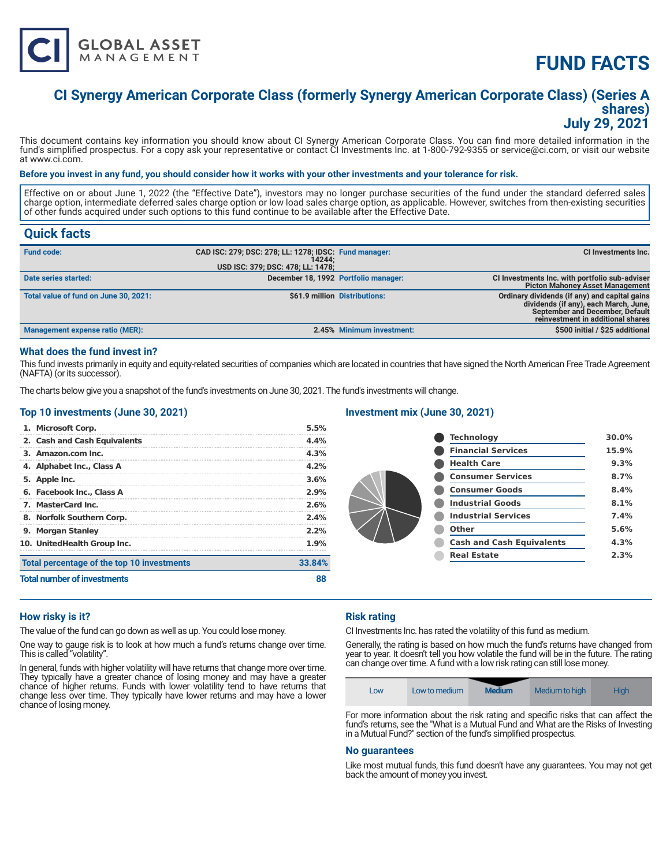

# **FUND FACTS**

# **CI Synergy American Corporate Class (formerly Synergy American Corporate Class) (Series A shares) July 29, 2021**

This document contains key information you should know about CI Synergy American Corporate Class. You can find more detailed information in the fund's simplified prospectus. For a copy ask your representative or contact CI Investments Inc. at 1-800-792-9355 or service@ci.com, or visit our website at www.ci.com.

#### **Before you invest in any fund, you should consider how it works with your other investments and your tolerance for risk.**

Effective on or about June 1, 2022 (the "Effective Date"), investors may no longer purchase securities of the fund under the standard deferred sales charge option, intermediate deferred sales charge option or low load sales charge option, as applicable. However, switches from then-existing securities of other funds acquired under such options to this fund continue to be available after the Effective Date.

# **Quick facts**

| <b>Fund code:</b>                      | CAD ISC: 279; DSC: 278; LL: 1278; IDSC: Fund manager:<br>14244:<br>USD ISC: 379; DSC: 478; LL: 1478; |                               | CI Investments Inc.                                                                                                                                            |
|----------------------------------------|------------------------------------------------------------------------------------------------------|-------------------------------|----------------------------------------------------------------------------------------------------------------------------------------------------------------|
| Date series started:                   | December 18, 1992 Portfolio manager:                                                                 |                               | CI Investments Inc. with portfolio sub-adviser<br><b>Picton Mahoney Asset Management</b>                                                                       |
| Total value of fund on June 30, 2021:  |                                                                                                      | \$61.9 million Distributions: | Ordinary dividends (if any) and capital gains<br>dividends (if any), each March, June,<br>September and December, Default<br>reinvestment in additional shares |
| <b>Management expense ratio (MER):</b> |                                                                                                      | 2.45% Minimum investment:     | \$500 initial / \$25 additional                                                                                                                                |

#### **What does the fund invest in?**

This fund invests primarily in equity and equity-related securities of companies which are located in countries that have signed the North American Free Trade Agreement (NAFTA) (or its successor).

The charts below give you a snapshot of the fund's investments on June 30, 2021. The fund's investments will change.

#### **Top 10 investments (June 30, 2021)**

#### **Investment mix (June 30, 2021)**

| <b>Total number of investments</b>         | 33.84%<br>88 |
|--------------------------------------------|--------------|
| Total percentage of the top 10 investments |              |
| 10. UnitedHealth Group Inc.                | 1.9%         |
| 9. Morgan Stanley                          | $2.2\%$      |
| 8. Norfolk Southern Corp.                  | 2.4%         |
| 7. MasterCard Inc.                         | 2.6%         |
| 6. Facebook Inc., Class A                  | 2.9%         |
| 5. Apple Inc.                              | 3.6%         |
| 4. Alphabet Inc., Class A                  | 4.2%         |
| 3. Amazon.com Inc.                         | 4.3%         |
| 2. Cash and Cash Equivalents               | 4.4%         |
| 1. Microsoft Corp.                         | 5.5%         |

|  | <b>Technology</b>                | 30.0% |
|--|----------------------------------|-------|
|  | <b>Financial Services</b>        | 15.9% |
|  | <b>Health Care</b>               | 9.3%  |
|  | <b>Consumer Services</b>         | 8.7%  |
|  | <b>Consumer Goods</b>            | 8.4%  |
|  | <b>Industrial Goods</b>          | 8.1%  |
|  | <b>Industrial Services</b>       | 7.4%  |
|  | Other                            | 5.6%  |
|  | <b>Cash and Cash Equivalents</b> | 4.3%  |
|  | <b>Real Estate</b>               | 2.3%  |
|  |                                  |       |

# **How risky is it?**

The value of the fund can go down as well as up. You could lose money.

One way to gauge risk is to look at how much a fund's returns change over time. This is called "volatility".

In general, funds with higher volatility will have returns that change more over time. They typically have a greater chance of losing money and may have a greater chance of higher returns. Funds with lower volatility tend to have returns that change less over time. They typically have lower returns and may have a lower chance of losing money.

# **Risk rating**

CI Investments Inc. has rated the volatility of this fund as medium.

Generally, the rating is based on how much the fund's returns have changed from year to year. It doesn't tell you how volatile the fund will be in the future. The rating can change over time. A fund with a low risk rating can still lose money.

| Low | Low to medium | <b>Medium</b> | Medium to high                                        | Hiah |
|-----|---------------|---------------|-------------------------------------------------------|------|
|     |               |               | $\mathcal{L}$ , and $\mathcal{L}$ , and $\mathcal{L}$ |      |

For more information about the risk rating and specific risks that can affect the fund's returns, see the "What is a Mutual Fund and What are the Risks of Investing in a Mutual Fund?" section of the fund's simplified prospectus.

### **No guarantees**

Like most mutual funds, this fund doesn't have any guarantees. You may not get back the amount of money you invest.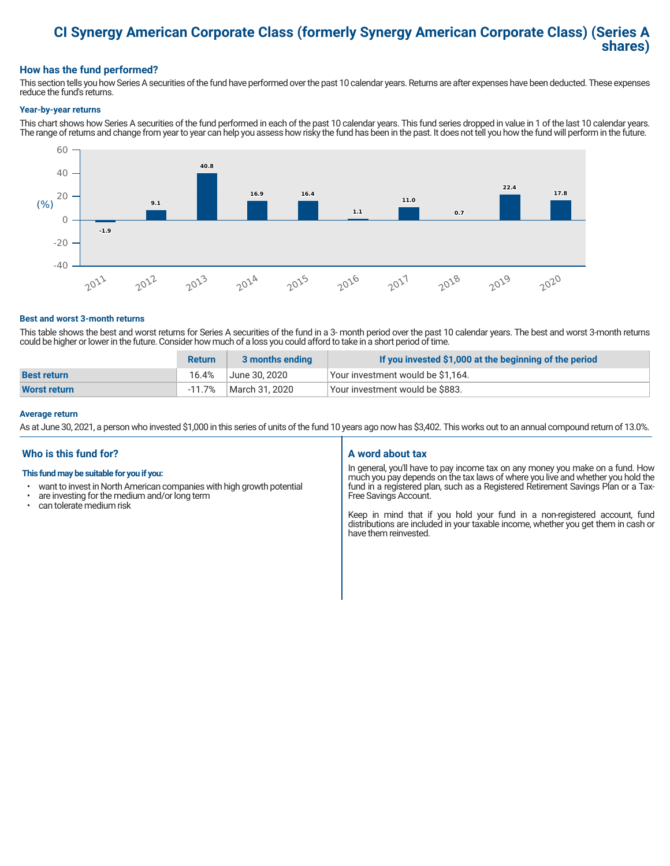# **CI Synergy American Corporate Class (formerly Synergy American Corporate Class) (Series A shares)**

## **How has the fund performed?**

This section tells you how Series A securities of the fund have performed over the past 10 calendar years. Returns are after expenses have been deducted. These expenses reduce the fund's returns.

#### **Year-by-year returns**

This chart shows how Series A securities of the fund performed in each of the past 10 calendar years. This fund series dropped in value in 1 of the last 10 calendar years. The range of returns and change from year to year can help you assess how risky the fund has been in the past. It does not tell you how the fund will perform in the future.



#### **Best and worst 3-month returns**

This table shows the best and worst returns for Series A securities of the fund in a 3- month period over the past 10 calendar years. The best and worst 3-month returns could be higher or lower in the future. Consider how much of a loss you could afford to take in a short period of time.

|                     | <b>Return</b> | 3 months ending | If you invested \$1,000 at the beginning of the period |
|---------------------|---------------|-----------------|--------------------------------------------------------|
| <b>Best return</b>  | 16.4%         | June 30. 2020   | Your investment would be \$1,164.                      |
| <b>Worst return</b> | -11.7%        | March 31, 2020  | Vour investment would be \$883.                        |

#### **Average return**

As at June 30, 2021, a person who invested \$1,000 in this series of units of the fund 10 years ago now has \$3,402. This works out to an annual compound return of 13.0%.

### **Who is this fund for?**

#### **This fund may be suitable for you if you:**

- want to invest in North American companies with high growth potential
- $\cdot$  are investing for the medium and/or long term<br> $\cdot$  can telerate medium risk
- can tolerate medium risk

### **A word about tax**

In general, you'll have to pay income tax on any money you make on a fund. How much you pay depends on the tax laws of where you live and whether you hold the fund in a registered plan, such as a Registered Retirement Savings Plan or a Tax-Free Savings Account.

Keep in mind that if you hold your fund in a non-registered account, fund distributions are included in your taxable income, whether you get them in cash or have them reinvested.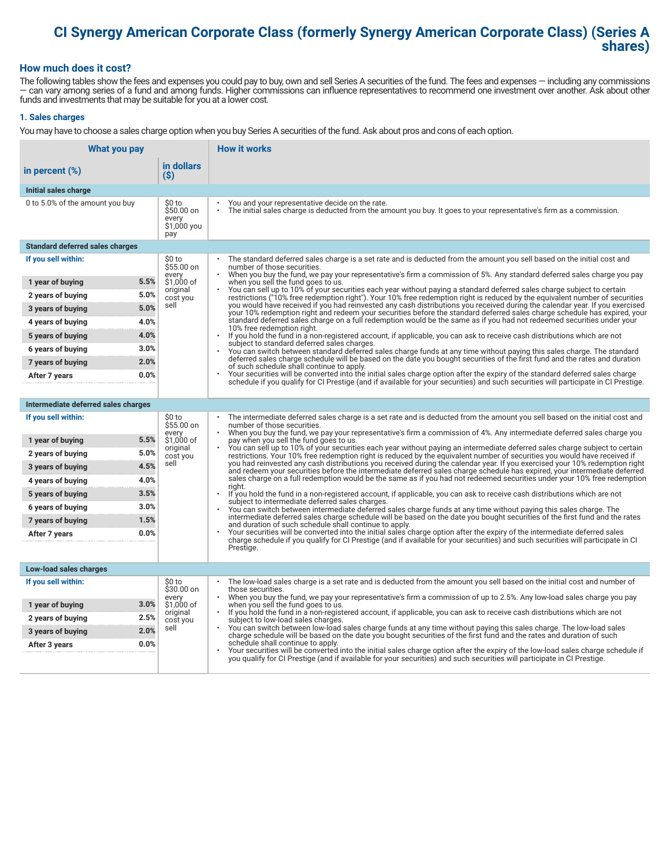# **CI Synergy American Corporate Class (formerly Synergy American Corporate Class) (Series A shares)**

#### **How much does it cost?**

The following tables show the fees and expenses you could pay to buy, own and sell Series A securities of the fund. The fees and expenses — including any commissions — can vary among series of a fund and among funds. Higher commissions can influence representatives to recommend one investment over another. Ask about other funds and investments that may be suitable for you at a lower cost.

#### **1. Sales charges**

You may have to choose a sales charge option when you buy Series A securities of the fund. Ask about pros and cons of each option.

| What you pay                           |                                                     | <b>How it works</b>                                                                                                                                                                                                                                                                   |
|----------------------------------------|-----------------------------------------------------|---------------------------------------------------------------------------------------------------------------------------------------------------------------------------------------------------------------------------------------------------------------------------------------|
| in percent (%)                         | in dollars<br>$(\$)$                                |                                                                                                                                                                                                                                                                                       |
| Initial sales charge                   |                                                     |                                                                                                                                                                                                                                                                                       |
| 0 to 5.0% of the amount you buy        | \$0 to<br>\$50.00 on<br>every<br>\$1,000 you<br>pay | You and your representative decide on the rate.<br>$\bullet$<br>The initial sales charge is deducted from the amount you buy. It goes to your representative's firm as a commission.                                                                                                  |
| <b>Standard deferred sales charges</b> |                                                     |                                                                                                                                                                                                                                                                                       |
| If you sell within:                    | \$0 to<br>\$55.00 on                                | The standard deferred sales charge is a set rate and is deducted from the amount you sell based on the initial cost and<br>number of those securities.                                                                                                                                |
| 1 year of buying                       | every<br>5.5%<br>\$1,000 of                         | When you buy the fund, we pay your representative's firm a commission of 5%. Any standard deferred sales charge you pay<br>when you sell the fund goes to us.                                                                                                                         |
| 2 years of buying                      | original<br>5.0%<br>cost you                        | You can sell up to 10% of your securities each year without paying a standard deferred sales charge subject to certain<br>restrictions ("10% free redemption right"). Your 10% free redemption right is reduced by the equivalent number of securities                                |
| 3 years of buying                      | sell<br>5.0%                                        | you would have received if you had reinvested any cash distributions you received during the calendar year. If you exercised<br>your 10% redemption right and redeem your securities before the standard deferred sales charge schedule has expired, your                             |
| 4 years of buying                      | 4.0%                                                | standard deferred sales charge on a full redemption would be the same as if you had not redeemed securities under your<br>10% free redemption right.                                                                                                                                  |
| 5 years of buying                      | 4.0%                                                | $\bullet$<br>If you hold the fund in a non-registered account, if applicable, you can ask to receive cash distributions which are not<br>subject to standard deferred sales charges.                                                                                                  |
| 6 years of buying                      | 3.0%                                                | You can switch between standard deferred sales charge funds at any time without paying this sales charge. The standard                                                                                                                                                                |
| 7 years of buying                      | 2.0%                                                | deferred sales charge schedule will be based on the date you bought securities of the first fund and the rates and duration<br>of such schedule shall continue to apply.                                                                                                              |
| After 7 years                          | 0.0%                                                | Your securities will be converted into the initial sales charge option after the expiry of the standard deferred sales charge<br>schedule if you qualify for CI Prestige (and if available for your securities) and such securities will participate in CI Prestige.                  |
|                                        |                                                     |                                                                                                                                                                                                                                                                                       |
| Intermediate deferred sales charges    |                                                     |                                                                                                                                                                                                                                                                                       |
| If you sell within:                    | \$0 to<br>\$55.00 on<br>every                       | The intermediate deferred sales charge is a set rate and is deducted from the amount you sell based on the initial cost and<br>number of those securities.<br>When you buy the fund, we pay your representative's firm a commission of 4%. Any intermediate deferred sales charge you |
| 1 year of buying                       | 5.5%<br>\$1,000 of<br>original                      | pay when you sell the fund goes to us.<br>You can sell up to 10% of your securities each year without paying an intermediate deferred sales charge subject to certain                                                                                                                 |
| 2 years of buying                      | 5.0%<br>cost you                                    | restrictions. Your 10% free redemption right is reduced by the equivalent number of securities you would have received if                                                                                                                                                             |
| 3 years of buying                      | sell<br>4.5%                                        | you had reinvested any cash distributions you received during the calendar year. If you exercised your 10% redemption right<br>and redeem your securities before the intermediate deferred sales charge schedule has expired, your intermediate deferred                              |
| 4 years of buying                      | 4.0%                                                | sales charge on a full redemption would be the same as if you had not redeemed securities under your 10% free redemption<br>riaht.                                                                                                                                                    |
| 5 years of buying                      | 3.5%                                                | If you hold the fund in a non-registered account, if applicable, you can ask to receive cash distributions which are not<br>subject to intermediate deferred sales charges.                                                                                                           |
| 6 years of buying                      | 3.0%                                                | You can switch between intermediate deferred sales charge funds at any time without paying this sales charge. The<br>intermediate deferred sales charge schedule will be based on the date you bought securities of the first fund and the rates                                      |
| 7 years of buying                      | 1.5%                                                | and duration of such schedule shall continue to apply.<br>Your securities will be converted into the initial sales charge option after the expiry of the intermediate deferred sales                                                                                                  |
| After 7 years                          | 0.0%                                                | charge schedule if you qualify for CI Prestige (and if available for your securities) and such securities will participate in CI                                                                                                                                                      |
|                                        |                                                     | Prestige.                                                                                                                                                                                                                                                                             |
| Low-load sales charges                 |                                                     |                                                                                                                                                                                                                                                                                       |
| If you sell within:                    | \$0 to<br>\$30.00 on                                | The low-load sales charge is a set rate and is deducted from the amount you sell based on the initial cost and number of<br>those securities.                                                                                                                                         |
| 1 year of buying                       | every<br>3.0%<br>\$1,000 of                         | When you buy the fund, we pay your representative's firm a commission of up to 2.5%. Any low-load sales charge you pay<br>when you sell the fund goes to us.                                                                                                                          |
| 2 years of buying                      | original<br>2.5%<br>cost you                        | If you hold the fund in a non-registered account, if applicable, you can ask to receive cash distributions which are not<br>$\bullet$<br>subject to low-load sales charges.                                                                                                           |
| 3 years of buying                      | sell<br>2.0%                                        | You can switch between low-load sales charge funds at any time without paying this sales charge. The low-load sales<br>charge schedule will be based on the date you bought securities of the first fund and the rates and duration of such                                           |
| After 3 years                          | 0.0%                                                | schedule shall continue to apply.<br>Your securities will be converted into the initial sales charge option after the expiry of the low-load sales charge schedule if                                                                                                                 |
|                                        |                                                     | you qualify for CI Prestige (and if available for your securities) and such securities will participate in CI Prestige.                                                                                                                                                               |